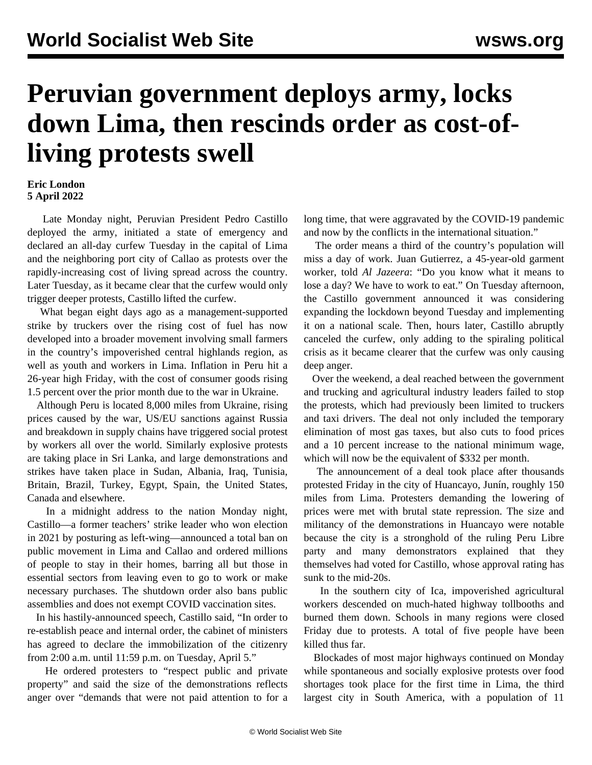## **Peruvian government deploys army, locks down Lima, then rescinds order as cost-ofliving protests swell**

## **Eric London 5 April 2022**

 Late Monday night, Peruvian President Pedro Castillo deployed the army, initiated a state of emergency and declared an all-day curfew Tuesday in the capital of Lima and the neighboring port city of Callao as protests over the rapidly-increasing cost of living spread across the country. Later Tuesday, as it became clear that the curfew would only trigger deeper protests, Castillo lifted the curfew.

 What began eight days ago as a management-supported strike by truckers over the rising cost of fuel has now developed into a broader movement involving small farmers in the country's impoverished central highlands region, as well as youth and workers in Lima. Inflation in Peru hit a 26-year high Friday, with the cost of consumer goods rising 1.5 percent over the prior month due to the war in Ukraine.

 Although Peru is located 8,000 miles from Ukraine, rising prices caused by the war, US/EU sanctions against Russia and breakdown in supply chains have triggered social protest by workers all over the world. Similarly explosive protests are taking place in Sri Lanka, and large demonstrations and strikes have taken place in Sudan, Albania, Iraq, Tunisia, Britain, Brazil, Turkey, Egypt, Spain, the United States, Canada and elsewhere.

 In a midnight address to the nation Monday night, Castillo—a former teachers' strike leader who won election in 2021 by posturing as left-wing—announced a total ban on public movement in Lima and Callao and ordered millions of people to stay in their homes, barring all but those in essential sectors from leaving even to go to work or make necessary purchases. The shutdown order also bans public assemblies and does not exempt COVID vaccination sites.

 In his hastily-announced speech, Castillo said, "In order to re-establish peace and internal order, the cabinet of ministers has agreed to declare the immobilization of the citizenry from 2:00 a.m. until 11:59 p.m. on Tuesday, April 5."

 He ordered protesters to "respect public and private property" and said the size of the demonstrations reflects anger over "demands that were not paid attention to for a long time, that were aggravated by the COVID-19 pandemic and now by the conflicts in the international situation."

 The order means a third of the country's population will miss a day of work. Juan Gutierrez, a 45-year-old garment worker, told *Al Jazeera*: "Do you know what it means to lose a day? We have to work to eat." On Tuesday afternoon, the Castillo government announced it was considering expanding the lockdown beyond Tuesday and implementing it on a national scale. Then, hours later, Castillo abruptly canceled the curfew, only adding to the spiraling political crisis as it became clearer that the curfew was only causing deep anger.

 Over the weekend, a deal reached between the government and trucking and agricultural industry leaders failed to stop the protests, which had previously been limited to truckers and taxi drivers. The deal not only included the temporary elimination of most gas taxes, but also cuts to food prices and a 10 percent increase to the national minimum wage, which will now be the equivalent of \$332 per month.

 The announcement of a deal took place after thousands protested Friday in the city of Huancayo, Junín, roughly 150 miles from Lima. Protesters demanding the lowering of prices were met with brutal state repression. The size and militancy of the demonstrations in Huancayo were notable because the city is a stronghold of the ruling Peru Libre party and many demonstrators explained that they themselves had voted for Castillo, whose approval rating has sunk to the mid-20s.

 In the southern city of Ica, impoverished agricultural workers descended on much-hated highway tollbooths and burned them down. Schools in many regions were closed Friday due to protests. A total of five people have been killed thus far.

 Blockades of most major highways continued on Monday while spontaneous and socially explosive protests over food shortages took place for the first time in Lima, the third largest city in South America, with a population of 11